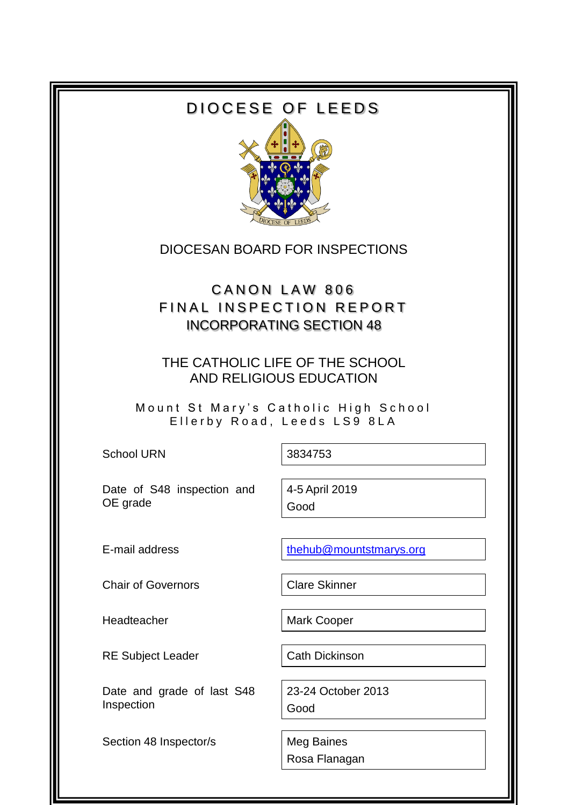# DIOCESE OF LEEDS



## DIOCESAN BOARD FOR INSPECTIONS

# CANON LAW 806 FINAL INSPECTION REPORT INCORPORATING SECTION 48

### THE CATHOLIC LIFE OF THE SCHOOL AND RELIGIOUS EDUCATION

Mount St Mary's Catholic High School Ellerby Road, Leeds LS9 8LA

School URN 3834753

Date of S48 inspection and OE grade

4-5 April 2019 Good

E-mail address the mail and the mountstmarys.org

Chair of Governors Chair Clare Skinner

Headteacher Mark Cooper

RE Subject Leader Cath Dickinson

Date and grade of last S48 Inspection

Section 48 Inspector/s | Meg Baines

23-24 October 2013 Good

Rosa Flanagan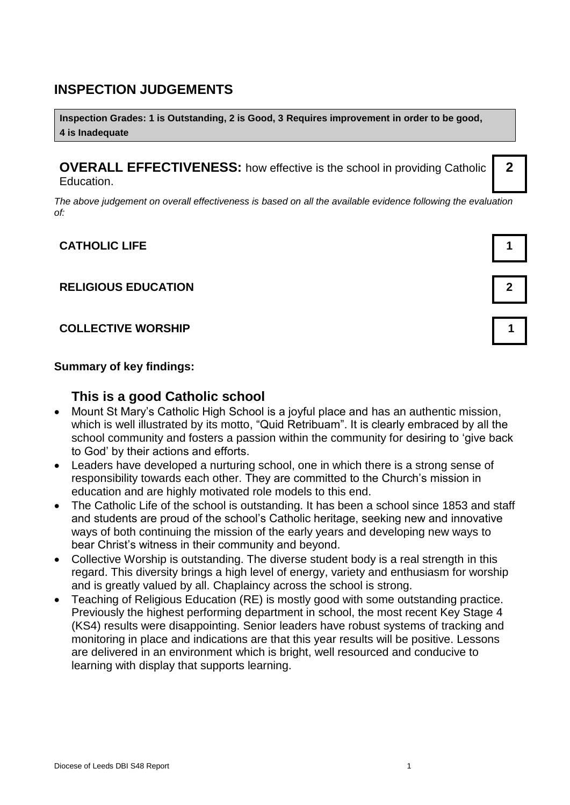### **INSPECTION JUDGEMENTS**

**Inspection Grades: 1 is Outstanding, 2 is Good, 3 Requires improvement in order to be good, 4 is Inadequate**

**OVERALL EFFECTIVENESS:** how effective is the school in providing Catholic Education.

*The above judgement on overall effectiveness is based on all the available evidence following the evaluation of:*

#### **CATHOLIC LIFE 1**

#### **RELIGIOUS EDUCATION 2**

#### **COLLECTIVE WORSHIP 1**

#### **Summary of key findings:**

### **This is a good Catholic school**

- Mount St Mary's Catholic High School is a joyful place and has an authentic mission, which is well illustrated by its motto, "Quid Retribuam". It is clearly embraced by all the school community and fosters a passion within the community for desiring to 'give back to God' by their actions and efforts.
- Leaders have developed a nurturing school, one in which there is a strong sense of responsibility towards each other. They are committed to the Church's mission in education and are highly motivated role models to this end.
- The Catholic Life of the school is outstanding. It has been a school since 1853 and staff and students are proud of the school's Catholic heritage, seeking new and innovative ways of both continuing the mission of the early years and developing new ways to bear Christ's witness in their community and beyond.
- Collective Worship is outstanding. The diverse student body is a real strength in this regard. This diversity brings a high level of energy, variety and enthusiasm for worship and is greatly valued by all. Chaplaincy across the school is strong.
- Teaching of Religious Education (RE) is mostly good with some outstanding practice. Previously the highest performing department in school, the most recent Key Stage 4 (KS4) results were disappointing. Senior leaders have robust systems of tracking and monitoring in place and indications are that this year results will be positive. Lessons are delivered in an environment which is bright, well resourced and conducive to learning with display that supports learning.



**2**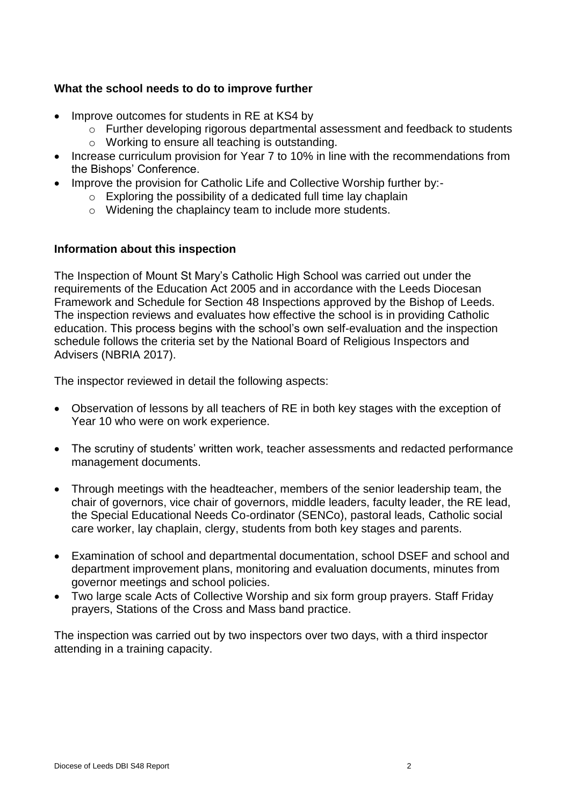#### **What the school needs to do to improve further**

- Improve outcomes for students in RE at KS4 by
	- o Further developing rigorous departmental assessment and feedback to students
	- o Working to ensure all teaching is outstanding.
- Increase curriculum provision for Year 7 to 10% in line with the recommendations from the Bishops' Conference.
- Improve the provision for Catholic Life and Collective Worship further by:-
	- $\circ$  Exploring the possibility of a dedicated full time lay chaplain
	- o Widening the chaplaincy team to include more students.

#### **Information about this inspection**

The Inspection of Mount St Mary's Catholic High School was carried out under the requirements of the Education Act 2005 and in accordance with the Leeds Diocesan Framework and Schedule for Section 48 Inspections approved by the Bishop of Leeds. The inspection reviews and evaluates how effective the school is in providing Catholic education. This process begins with the school's own self-evaluation and the inspection schedule follows the criteria set by the National Board of Religious Inspectors and Advisers (NBRIA 2017).

The inspector reviewed in detail the following aspects:

- Observation of lessons by all teachers of RE in both key stages with the exception of Year 10 who were on work experience.
- The scrutiny of students' written work, teacher assessments and redacted performance management documents.
- Through meetings with the headteacher, members of the senior leadership team, the chair of governors, vice chair of governors, middle leaders, faculty leader, the RE lead, the Special Educational Needs Co-ordinator (SENCo), pastoral leads, Catholic social care worker, lay chaplain, clergy, students from both key stages and parents.
- Examination of school and departmental documentation, school DSEF and school and department improvement plans, monitoring and evaluation documents, minutes from governor meetings and school policies.
- Two large scale Acts of Collective Worship and six form group prayers. Staff Friday prayers, Stations of the Cross and Mass band practice.

The inspection was carried out by two inspectors over two days, with a third inspector attending in a training capacity.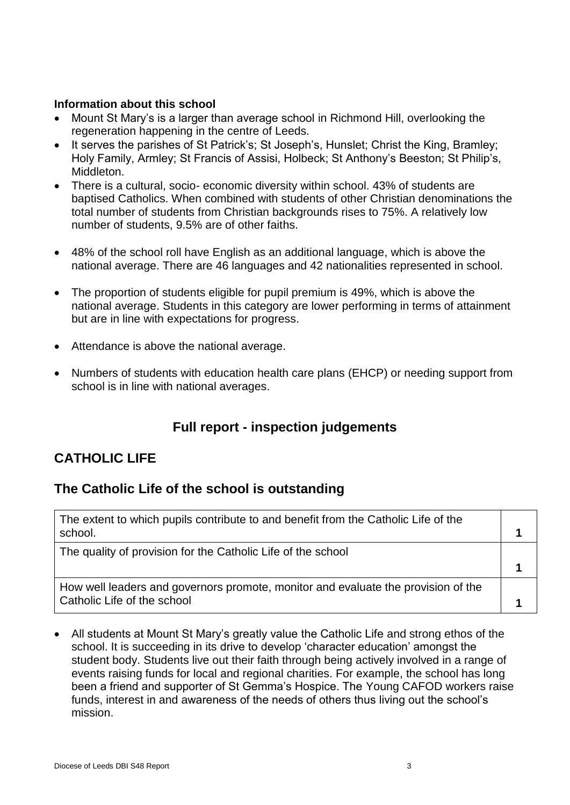#### **Information about this school**

- Mount St Mary's is a larger than average school in Richmond Hill, overlooking the regeneration happening in the centre of Leeds.
- It serves the parishes of St Patrick's; St Joseph's, Hunslet; Christ the King, Bramley; Holy Family, Armley; St Francis of Assisi, Holbeck; St Anthony's Beeston; St Philip's, Middleton.
- There is a cultural, socio- economic diversity within school. 43% of students are baptised Catholics. When combined with students of other Christian denominations the total number of students from Christian backgrounds rises to 75%. A relatively low number of students, 9.5% are of other faiths.
- 48% of the school roll have English as an additional language, which is above the national average. There are 46 languages and 42 nationalities represented in school.
- The proportion of students eligible for pupil premium is 49%, which is above the national average. Students in this category are lower performing in terms of attainment but are in line with expectations for progress.
- Attendance is above the national average.
- Numbers of students with education health care plans (EHCP) or needing support from school is in line with national averages.

## **Full report - inspection judgements**

### **CATHOLIC LIFE**

### **The Catholic Life of the school is outstanding**

| The extent to which pupils contribute to and benefit from the Catholic Life of the<br>school.                    |  |
|------------------------------------------------------------------------------------------------------------------|--|
| The quality of provision for the Catholic Life of the school                                                     |  |
|                                                                                                                  |  |
| How well leaders and governors promote, monitor and evaluate the provision of the<br>Catholic Life of the school |  |

 All students at Mount St Mary's greatly value the Catholic Life and strong ethos of the school. It is succeeding in its drive to develop 'character education' amongst the student body. Students live out their faith through being actively involved in a range of events raising funds for local and regional charities. For example, the school has long been a friend and supporter of St Gemma's Hospice. The Young CAFOD workers raise funds, interest in and awareness of the needs of others thus living out the school's mission.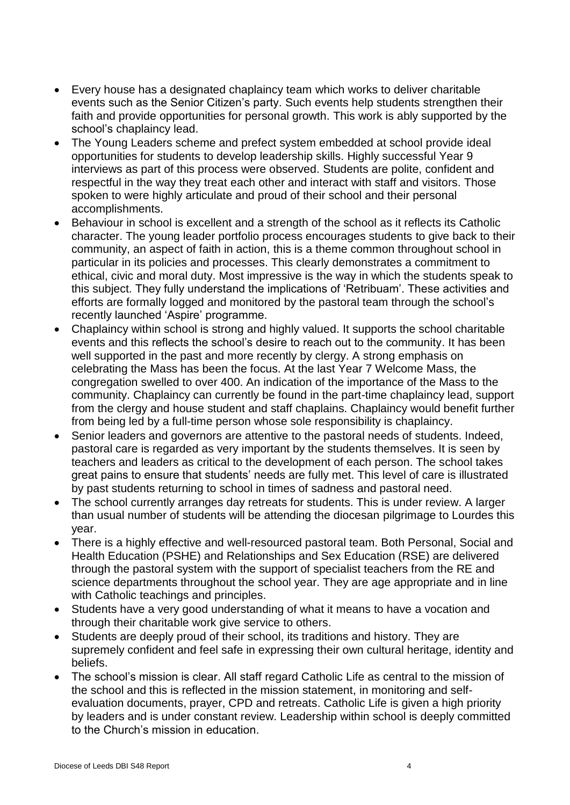- Every house has a designated chaplaincy team which works to deliver charitable events such as the Senior Citizen's party. Such events help students strengthen their faith and provide opportunities for personal growth. This work is ably supported by the school's chaplaincy lead.
- The Young Leaders scheme and prefect system embedded at school provide ideal opportunities for students to develop leadership skills. Highly successful Year 9 interviews as part of this process were observed. Students are polite, confident and respectful in the way they treat each other and interact with staff and visitors. Those spoken to were highly articulate and proud of their school and their personal accomplishments.
- Behaviour in school is excellent and a strength of the school as it reflects its Catholic character. The young leader portfolio process encourages students to give back to their community, an aspect of faith in action, this is a theme common throughout school in particular in its policies and processes. This clearly demonstrates a commitment to ethical, civic and moral duty. Most impressive is the way in which the students speak to this subject. They fully understand the implications of 'Retribuam'. These activities and efforts are formally logged and monitored by the pastoral team through the school's recently launched 'Aspire' programme.
- Chaplaincy within school is strong and highly valued. It supports the school charitable events and this reflects the school's desire to reach out to the community. It has been well supported in the past and more recently by clergy. A strong emphasis on celebrating the Mass has been the focus. At the last Year 7 Welcome Mass, the congregation swelled to over 400. An indication of the importance of the Mass to the community. Chaplaincy can currently be found in the part-time chaplaincy lead, support from the clergy and house student and staff chaplains. Chaplaincy would benefit further from being led by a full-time person whose sole responsibility is chaplaincy.
- Senior leaders and governors are attentive to the pastoral needs of students. Indeed, pastoral care is regarded as very important by the students themselves. It is seen by teachers and leaders as critical to the development of each person. The school takes great pains to ensure that students' needs are fully met. This level of care is illustrated by past students returning to school in times of sadness and pastoral need.
- The school currently arranges day retreats for students. This is under review. A larger than usual number of students will be attending the diocesan pilgrimage to Lourdes this year.
- There is a highly effective and well-resourced pastoral team. Both Personal, Social and Health Education (PSHE) and Relationships and Sex Education (RSE) are delivered through the pastoral system with the support of specialist teachers from the RE and science departments throughout the school year. They are age appropriate and in line with Catholic teachings and principles.
- Students have a very good understanding of what it means to have a vocation and through their charitable work give service to others.
- Students are deeply proud of their school, its traditions and history. They are supremely confident and feel safe in expressing their own cultural heritage, identity and beliefs.
- The school's mission is clear. All staff regard Catholic Life as central to the mission of the school and this is reflected in the mission statement, in monitoring and selfevaluation documents, prayer, CPD and retreats. Catholic Life is given a high priority by leaders and is under constant review. Leadership within school is deeply committed to the Church's mission in education.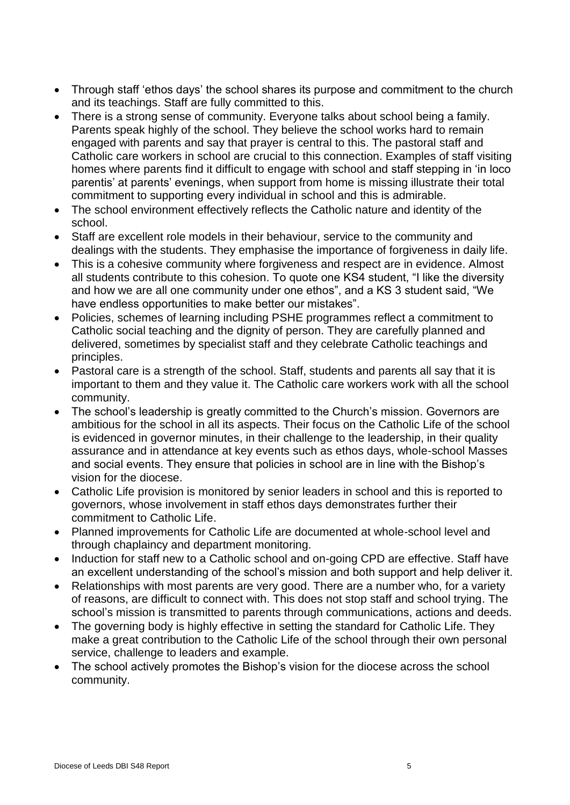- Through staff 'ethos days' the school shares its purpose and commitment to the church and its teachings. Staff are fully committed to this.
- There is a strong sense of community. Everyone talks about school being a family. Parents speak highly of the school. They believe the school works hard to remain engaged with parents and say that prayer is central to this. The pastoral staff and Catholic care workers in school are crucial to this connection. Examples of staff visiting homes where parents find it difficult to engage with school and staff stepping in 'in loco parentis' at parents' evenings, when support from home is missing illustrate their total commitment to supporting every individual in school and this is admirable.
- The school environment effectively reflects the Catholic nature and identity of the school.
- Staff are excellent role models in their behaviour, service to the community and dealings with the students. They emphasise the importance of forgiveness in daily life.
- This is a cohesive community where forgiveness and respect are in evidence. Almost all students contribute to this cohesion. To quote one KS4 student, "I like the diversity and how we are all one community under one ethos", and a KS 3 student said, "We have endless opportunities to make better our mistakes".
- Policies, schemes of learning including PSHE programmes reflect a commitment to Catholic social teaching and the dignity of person. They are carefully planned and delivered, sometimes by specialist staff and they celebrate Catholic teachings and principles.
- Pastoral care is a strength of the school. Staff, students and parents all say that it is important to them and they value it. The Catholic care workers work with all the school community.
- The school's leadership is greatly committed to the Church's mission. Governors are ambitious for the school in all its aspects. Their focus on the Catholic Life of the school is evidenced in governor minutes, in their challenge to the leadership, in their quality assurance and in attendance at key events such as ethos days, whole-school Masses and social events. They ensure that policies in school are in line with the Bishop's vision for the diocese.
- Catholic Life provision is monitored by senior leaders in school and this is reported to governors, whose involvement in staff ethos days demonstrates further their commitment to Catholic Life.
- Planned improvements for Catholic Life are documented at whole-school level and through chaplaincy and department monitoring.
- Induction for staff new to a Catholic school and on-going CPD are effective. Staff have an excellent understanding of the school's mission and both support and help deliver it.
- Relationships with most parents are very good. There are a number who, for a variety of reasons, are difficult to connect with. This does not stop staff and school trying. The school's mission is transmitted to parents through communications, actions and deeds.
- The governing body is highly effective in setting the standard for Catholic Life. They make a great contribution to the Catholic Life of the school through their own personal service, challenge to leaders and example.
- The school actively promotes the Bishop's vision for the diocese across the school community.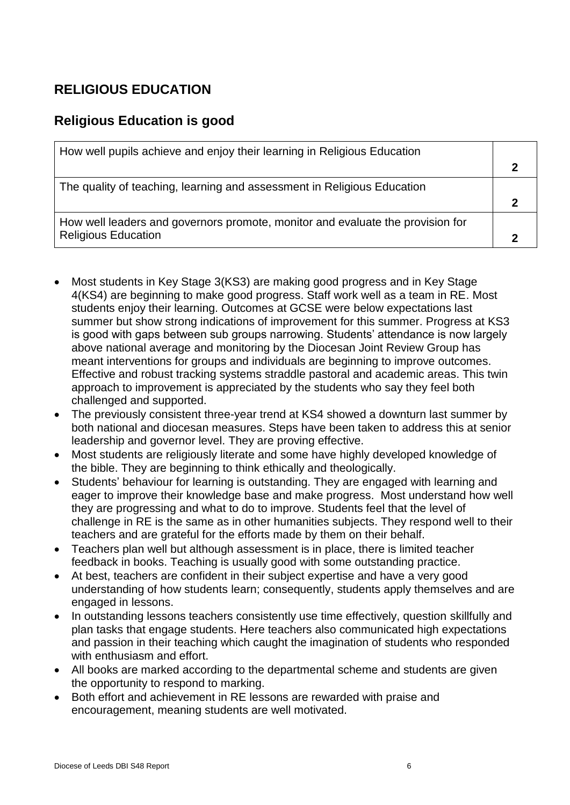## **RELIGIOUS EDUCATION**

## **Religious Education is good**

| How well pupils achieve and enjoy their learning in Religious Education        |  |
|--------------------------------------------------------------------------------|--|
|                                                                                |  |
| The quality of teaching, learning and assessment in Religious Education        |  |
|                                                                                |  |
| How well leaders and governors promote, monitor and evaluate the provision for |  |
| <b>Religious Education</b>                                                     |  |

- Most students in Key Stage 3(KS3) are making good progress and in Key Stage 4(KS4) are beginning to make good progress. Staff work well as a team in RE. Most students enjoy their learning. Outcomes at GCSE were below expectations last summer but show strong indications of improvement for this summer. Progress at KS3 is good with gaps between sub groups narrowing. Students' attendance is now largely above national average and monitoring by the Diocesan Joint Review Group has meant interventions for groups and individuals are beginning to improve outcomes. Effective and robust tracking systems straddle pastoral and academic areas. This twin approach to improvement is appreciated by the students who say they feel both challenged and supported.
- The previously consistent three-year trend at KS4 showed a downturn last summer by both national and diocesan measures. Steps have been taken to address this at senior leadership and governor level. They are proving effective.
- Most students are religiously literate and some have highly developed knowledge of the bible. They are beginning to think ethically and theologically.
- Students' behaviour for learning is outstanding. They are engaged with learning and eager to improve their knowledge base and make progress. Most understand how well they are progressing and what to do to improve. Students feel that the level of challenge in RE is the same as in other humanities subjects. They respond well to their teachers and are grateful for the efforts made by them on their behalf.
- Teachers plan well but although assessment is in place, there is limited teacher feedback in books. Teaching is usually good with some outstanding practice.
- At best, teachers are confident in their subject expertise and have a very good understanding of how students learn; consequently, students apply themselves and are engaged in lessons.
- In outstanding lessons teachers consistently use time effectively, question skillfully and plan tasks that engage students. Here teachers also communicated high expectations and passion in their teaching which caught the imagination of students who responded with enthusiasm and effort.
- All books are marked according to the departmental scheme and students are given the opportunity to respond to marking.
- Both effort and achievement in RE lessons are rewarded with praise and encouragement, meaning students are well motivated.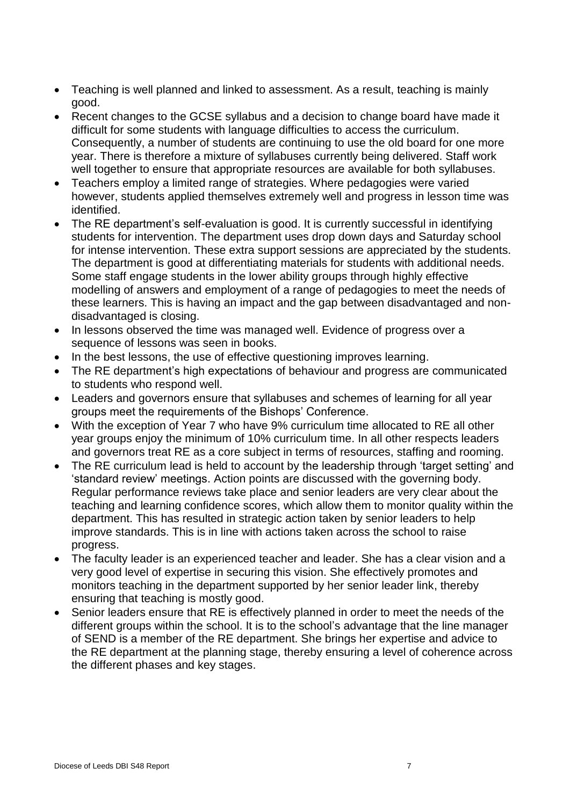- Teaching is well planned and linked to assessment. As a result, teaching is mainly good.
- Recent changes to the GCSE syllabus and a decision to change board have made it difficult for some students with language difficulties to access the curriculum. Consequently, a number of students are continuing to use the old board for one more year. There is therefore a mixture of syllabuses currently being delivered. Staff work well together to ensure that appropriate resources are available for both syllabuses.
- Teachers employ a limited range of strategies. Where pedagogies were varied however, students applied themselves extremely well and progress in lesson time was identified.
- The RE department's self-evaluation is good. It is currently successful in identifying students for intervention. The department uses drop down days and Saturday school for intense intervention. These extra support sessions are appreciated by the students. The department is good at differentiating materials for students with additional needs. Some staff engage students in the lower ability groups through highly effective modelling of answers and employment of a range of pedagogies to meet the needs of these learners. This is having an impact and the gap between disadvantaged and nondisadvantaged is closing.
- In lessons observed the time was managed well. Evidence of progress over a sequence of lessons was seen in books.
- In the best lessons, the use of effective questioning improves learning.
- The RE department's high expectations of behaviour and progress are communicated to students who respond well.
- Leaders and governors ensure that syllabuses and schemes of learning for all year groups meet the requirements of the Bishops' Conference.
- With the exception of Year 7 who have 9% curriculum time allocated to RE all other year groups enjoy the minimum of 10% curriculum time. In all other respects leaders and governors treat RE as a core subject in terms of resources, staffing and rooming.
- The RE curriculum lead is held to account by the leadership through 'target setting' and 'standard review' meetings. Action points are discussed with the governing body. Regular performance reviews take place and senior leaders are very clear about the teaching and learning confidence scores, which allow them to monitor quality within the department. This has resulted in strategic action taken by senior leaders to help improve standards. This is in line with actions taken across the school to raise progress.
- The faculty leader is an experienced teacher and leader. She has a clear vision and a very good level of expertise in securing this vision. She effectively promotes and monitors teaching in the department supported by her senior leader link, thereby ensuring that teaching is mostly good.
- Senior leaders ensure that RE is effectively planned in order to meet the needs of the different groups within the school. It is to the school's advantage that the line manager of SEND is a member of the RE department. She brings her expertise and advice to the RE department at the planning stage, thereby ensuring a level of coherence across the different phases and key stages.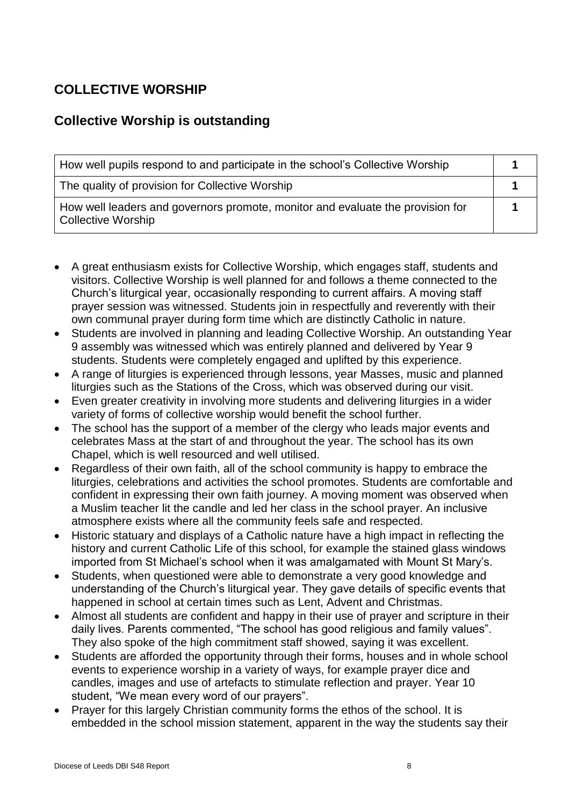# **COLLECTIVE WORSHIP**

## **Collective Worship is outstanding**

| How well pupils respond to and participate in the school's Collective Worship                        |  |
|------------------------------------------------------------------------------------------------------|--|
| The quality of provision for Collective Worship                                                      |  |
| How well leaders and governors promote, monitor and evaluate the provision for<br>Collective Worship |  |

- A great enthusiasm exists for Collective Worship, which engages staff, students and visitors. Collective Worship is well planned for and follows a theme connected to the Church's liturgical year, occasionally responding to current affairs. A moving staff prayer session was witnessed. Students join in respectfully and reverently with their own communal prayer during form time which are distinctly Catholic in nature.
- Students are involved in planning and leading Collective Worship. An outstanding Year 9 assembly was witnessed which was entirely planned and delivered by Year 9 students. Students were completely engaged and uplifted by this experience.
- A range of liturgies is experienced through lessons, year Masses, music and planned liturgies such as the Stations of the Cross, which was observed during our visit.
- Even greater creativity in involving more students and delivering liturgies in a wider variety of forms of collective worship would benefit the school further.
- The school has the support of a member of the clergy who leads major events and celebrates Mass at the start of and throughout the year. The school has its own Chapel, which is well resourced and well utilised.
- Regardless of their own faith, all of the school community is happy to embrace the liturgies, celebrations and activities the school promotes. Students are comfortable and confident in expressing their own faith journey. A moving moment was observed when a Muslim teacher lit the candle and led her class in the school prayer. An inclusive atmosphere exists where all the community feels safe and respected.
- Historic statuary and displays of a Catholic nature have a high impact in reflecting the history and current Catholic Life of this school, for example the stained glass windows imported from St Michael's school when it was amalgamated with Mount St Mary's.
- Students, when questioned were able to demonstrate a very good knowledge and understanding of the Church's liturgical year. They gave details of specific events that happened in school at certain times such as Lent, Advent and Christmas.
- Almost all students are confident and happy in their use of prayer and scripture in their daily lives. Parents commented, "The school has good religious and family values". They also spoke of the high commitment staff showed, saying it was excellent.
- Students are afforded the opportunity through their forms, houses and in whole school events to experience worship in a variety of ways, for example prayer dice and candles, images and use of artefacts to stimulate reflection and prayer. Year 10 student, "We mean every word of our prayers".
- Prayer for this largely Christian community forms the ethos of the school. It is embedded in the school mission statement, apparent in the way the students say their